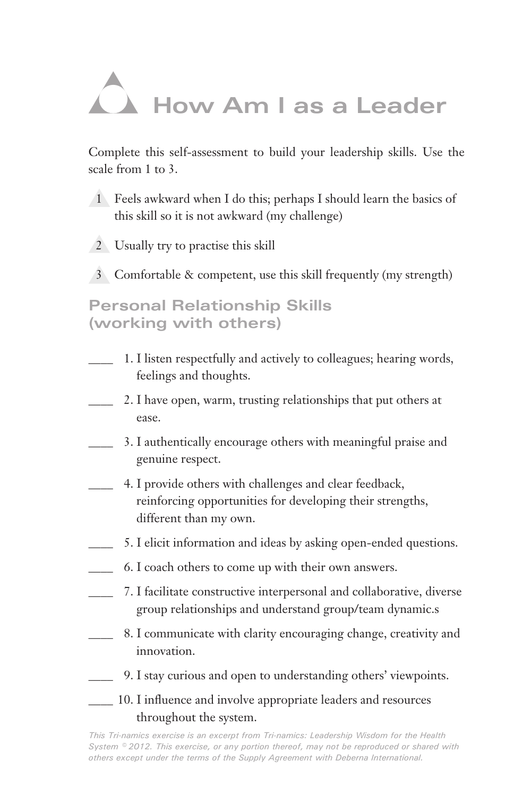## **How Am I as a Leader**

Complete this self-assessment to build your leadership skills. Use the scale from 1 to 3.

- 1 Feels awkward when I do this; perhaps I should learn the basics of this skill so it is not awkward (my challenge)
- 2 Usually try to practise this skill
- 3 Comfortable & competent, use this skill frequently (my strength)

**Personal Relationship Skills (working with others)**

- 1. I listen respectfully and actively to colleagues; hearing words, feelings and thoughts.
- 2. I have open, warm, trusting relationships that put others at ease.
- 3. I authentically encourage others with meaningful praise and genuine respect.
- 4. I provide others with challenges and clear feedback, reinforcing opportunities for developing their strengths, different than my own.
- 5. I elicit information and ideas by asking open-ended questions.
- 6. I coach others to come up with their own answers.
- 7. I facilitate constructive interpersonal and collaborative, diverse group relationships and understand group/team dynamic.s
- 8. I communicate with clarity encouraging change, creativity and innovation.
- 9. I stay curious and open to understanding others' viewpoints.
- 10. I influence and involve appropriate leaders and resources throughout the system.

*This Tri-namics exercise is an excerpt from Tri-namics: Leadership Wisdom for the Health System © 2012. This exercise, or any portion thereof, may not be reproduced or shared with others except under the terms of the Supply Agreement with Deberna International.*